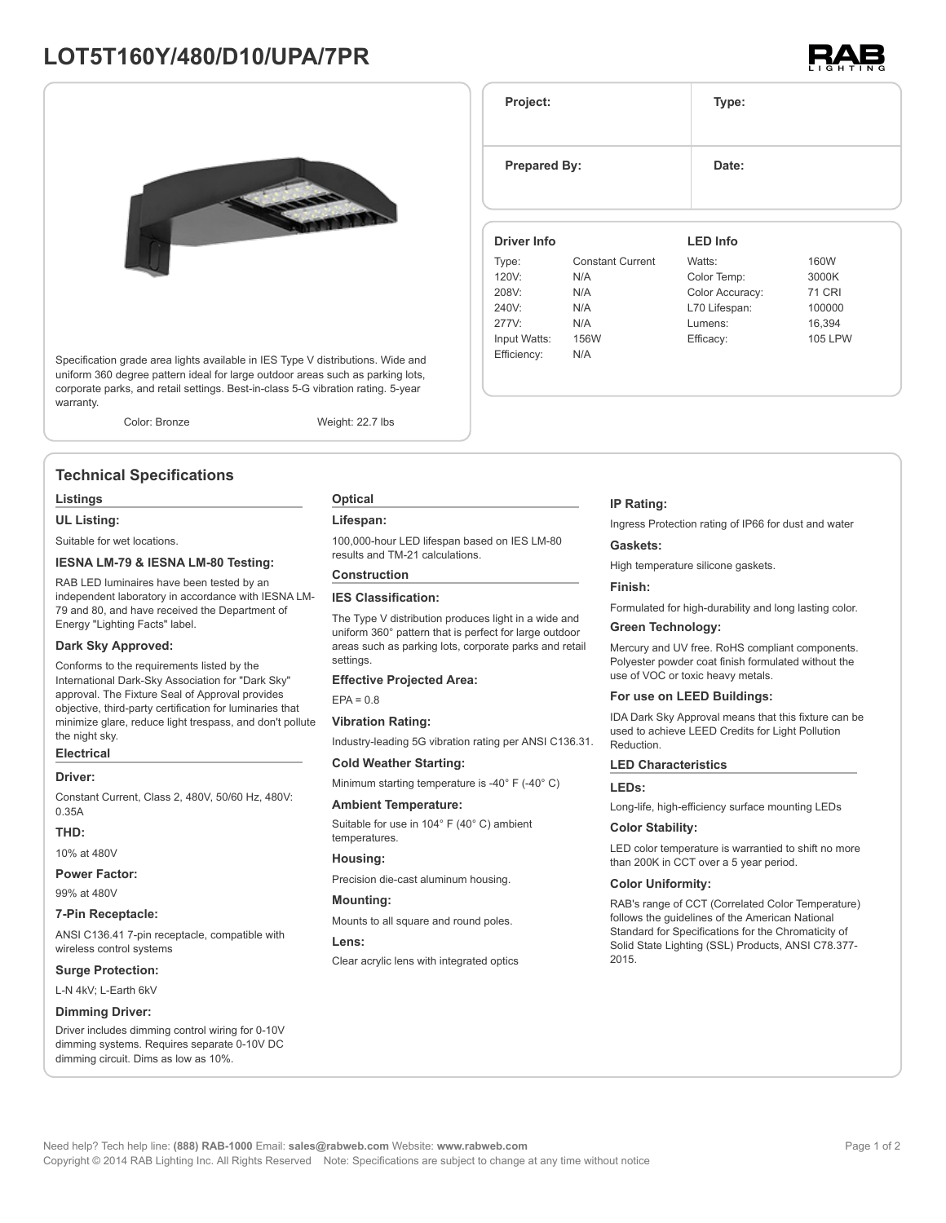# **LOT5T160Y/480/D10/UPA/7PR**



Specification grade area lights available in IES Type V distributions. Wide and uniform 360 degree pattern ideal for large outdoor areas such as parking lots, corporate parks, and retail settings. Best-in-class 5-G vibration rating. 5-year warranty.

Color: Bronze Weight: 22.7 lbs

## **Technical Specifications**

#### **Listings**

#### **UL Listing:**

Suitable for wet locations.

#### **IESNA LM-79 & IESNA LM-80 Testing:**

RAB LED luminaires have been tested by an independent laboratory in accordance with IESNA LM-79 and 80, and have received the Department of Energy "Lighting Facts" label.

### **Dark Sky Approved:**

Conforms to the requirements listed by the International Dark-Sky Association for "Dark Sky" approval. The Fixture Seal of Approval provides objective, third-party certification for luminaries that minimize glare, reduce light trespass, and don't pollute the night sky.

### **Electrical**

#### **Driver:**

Constant Current, Class 2, 480V, 50/60 Hz, 480V: 0.35A

#### **THD:**

10% at 480V

**Power Factor:**

99% at 480V

**7-Pin Receptacle:**

ANSI C136.41 7-pin receptacle, compatible with wireless control systems

### **Surge Protection:**

L-N 4kV; L-Earth 6kV

### **Dimming Driver:**

Driver includes dimming control wiring for 0-10V dimming systems. Requires separate 0-10V DC dimming circuit. Dims as low as 10%.

### **Optical**

#### **Lifespan:**

100,000-hour LED lifespan based on IES LM-80 results and TM-21 calculations.

### **Construction**

### **IES Classification:**

The Type V distribution produces light in a wide and uniform 360° pattern that is perfect for large outdoor areas such as parking lots, corporate parks and retail settings.

#### **Effective Projected Area:**

 $EPA = 0.8$ 

#### **Vibration Rating:**

Industry-leading 5G vibration rating per ANSI C136.31.

### **Cold Weather Starting:** Minimum starting temperature is -40° F (-40° C)

#### **Ambient Temperature:**

Suitable for use in 104° F (40° C) ambient temperatures.

#### **Housing:**

Precision die-cast aluminum housing.

### **Mounting:**

Mounts to all square and round poles.

#### **Lens:**

Clear acrylic lens with integrated optics

#### **IP Rating:**

Ingress Protection rating of IP66 for dust and water

#### **Gaskets:**

High temperature silicone gaskets.

#### **Finish:**

Formulated for high-durability and long lasting color.

#### **Green Technology:**

Mercury and UV free. RoHS compliant components. Polyester powder coat finish formulated without the use of VOC or toxic heavy metals.

#### **For use on LEED Buildings:**

IDA Dark Sky Approval means that this fixture can be used to achieve LEED Credits for Light Pollution Reduction.

#### **LED Characteristics**

#### **LEDs:**

Long-life, high-efficiency surface mounting LEDs

#### **Color Stability:**

LED color temperature is warrantied to shift no more than 200K in CCT over a 5 year period.

#### **Color Uniformity:**

RAB's range of CCT (Correlated Color Temperature) follows the guidelines of the American National Standard for Specifications for the Chromaticity of Solid State Lighting (SSL) Products, ANSI C78.377- 2015.



**Project: Type: Prepared By:** Date: **Driver Info** Type: Constant Current 120V: N/A 208V: N/A 240V: N/A 277V: N/A Input Watts: 156W Efficiency: N/A **LED Info** Watts: 160W Color Temp: 3000K Color Accuracy: 71 CRI L70 Lifespan: 100000 Lumens: 16,394 Efficacy: 105 LPW